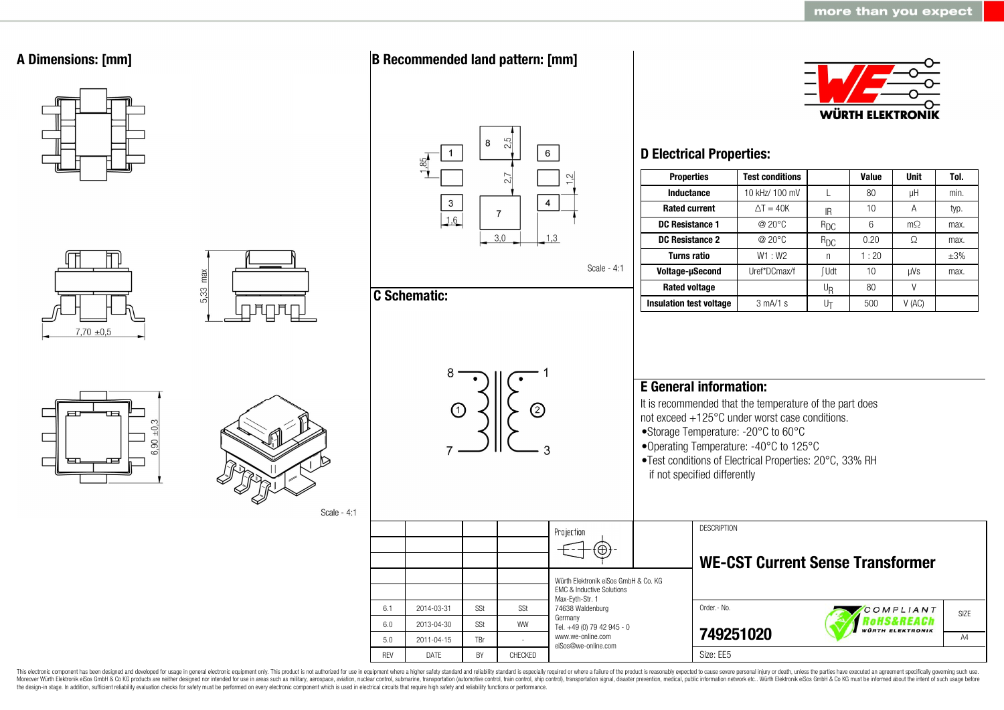

This electronic component has been designed and developed for usage in general electronic equipment only. This product is not authorized for use in equipment where a higher safety standard and reliability standard is espec Moreover Würth Elektronik eiSos GmbH & Co KG products are neither designed nor intended for use in areas such as military, aerospace, aviation, nuclear control, submarine, transportation (automotive control, ship control), the design-in stage. In addition, sufficient reliability evaluation checks for safety must be performed on every electronic component which is used in electrical circuits that require high safety and reliability functions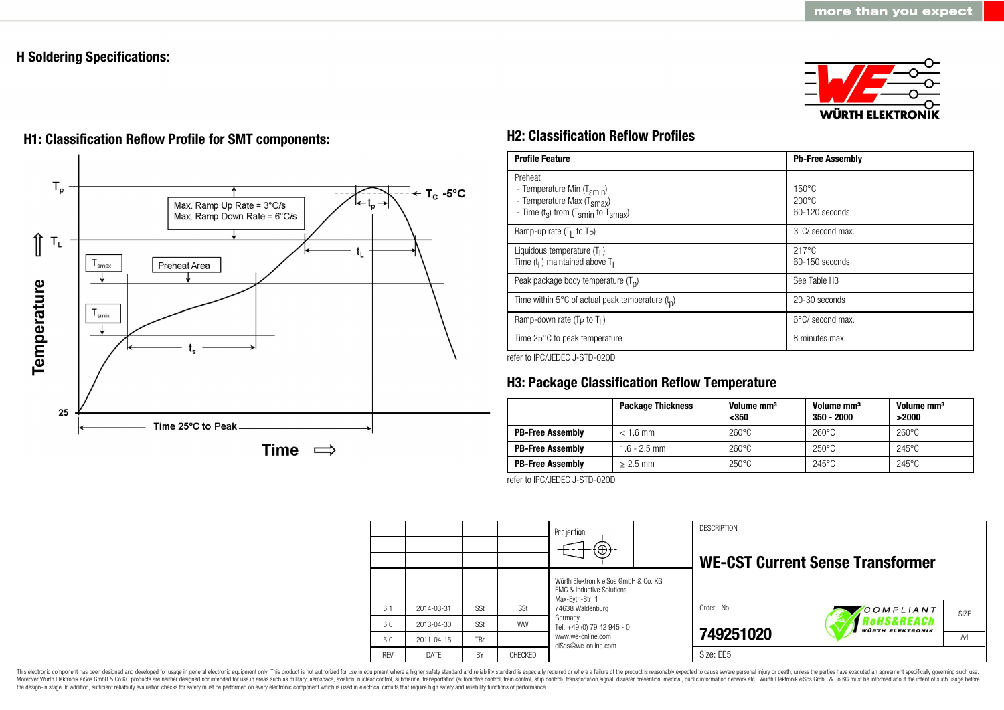# **H Soldering Specifications:**



# $T_{p}$  $T_c - 5$ °C Max. Ramp Up Rate = 3°C/s Max. Ramp Down Rate = 6°C/s ⇑  $\mathsf{T}_\mathsf{L}$ t. Preheat Area smax Temperature  $T_{\text{smin}}$ 25 Time 25°C to Peak Time  $\implies$

# **H1: Classification Reflow Profile for SMT components: H2: Classification Reflow Profiles**

| <b>Profile Feature</b>                                                                                                                        | <b>Pb-Free Assembly</b>                             |  |  |
|-----------------------------------------------------------------------------------------------------------------------------------------------|-----------------------------------------------------|--|--|
| Preheat<br>- Temperature Min (T <sub>smin</sub> )<br>- Temperature Max (T <sub>Smax</sub> )<br>- Time $(t_s)$ from $(T_{smin}$ to $T_{smax})$ | $150^{\circ}$ C<br>$200\degree C$<br>60-120 seconds |  |  |
| Ramp-up rate $(T_1$ to $T_p$ )                                                                                                                | 3°C/ second max.                                    |  |  |
| Liquidous temperature $(T1)$<br>Time $(tl)$ maintained above T <sub>1</sub>                                                                   | $217^{\circ}$ C<br>$60-150$ seconds                 |  |  |
| Peak package body temperature $(Tp)$                                                                                                          | See Table H <sub>3</sub>                            |  |  |
| Time within 5°C of actual peak temperature $(tn)$                                                                                             | 20-30 seconds                                       |  |  |
| Ramp-down rate $(T_P$ to $T_I$ )                                                                                                              | $6^{\circ}$ C/ second max.                          |  |  |
| Time 25°C to peak temperature                                                                                                                 | 8 minutes max.                                      |  |  |

refer to IPC/JEDEC J-STD-020D

# **H3: Package Classification Reflow Temperature**

|                         | <b>Package Thickness</b> | Volume mm <sup>3</sup><br>$350$ | Volume mm <sup>3</sup><br>$350 - 2000$ | Volume mm <sup>3</sup><br>>2000 |
|-------------------------|--------------------------|---------------------------------|----------------------------------------|---------------------------------|
| <b>PB-Free Assembly</b> | $< 1.6$ mm               | $260^{\circ}$ C                 | $260^{\circ}$ C                        | $260^{\circ}$ C                 |
| <b>PB-Free Assembly</b> | $1.6 - 2.5$ mm           | $260^{\circ}$ C                 | $250^{\circ}$ C                        | $245^{\circ}$ C                 |
| <b>PB-Free Assembly</b> | $> 2.5$ mm               | $250^{\circ}$ C                 | $245^{\circ}$ C                        | $245^{\circ}$ C                 |

refer to IPC/JEDEC J-STD-020D

|            |            |     |           | Projection<br>$\Theta$                                                                                                   |  | <b>DESCRIPTION</b> | <b>WE-CST Current Sense Transformer</b>                 |                   |
|------------|------------|-----|-----------|--------------------------------------------------------------------------------------------------------------------------|--|--------------------|---------------------------------------------------------|-------------------|
|            |            |     |           | Würth Elektronik eiSos GmbH & Co. KG<br><b>EMC &amp; Inductive Solutions</b>                                             |  |                    |                                                         |                   |
| 6.1        | 2014-03-31 | SSt | SSt       | Max-Eyth-Str. 1<br>74638 Waldenburg<br>Germany<br>Tel. +49 (0) 79 42 945 - 0<br>www.we-online.com<br>eiSos@we-online.com |  | Order .- No.       | COMPLIANT                                               | SI <sub>7</sub> F |
| 6.0        | 2013-04-30 | SSt | <b>WW</b> |                                                                                                                          |  |                    | <i><b>ROHS&amp;REACH</b></i><br><b>WÜRTH ELEKTRONIK</b> |                   |
| 5.0        | 2011-04-15 | TBr |           |                                                                                                                          |  | 749251020          |                                                         | A4                |
| <b>RFV</b> | DATE       | BY  | CHECKED   |                                                                                                                          |  | Size: EE5          |                                                         |                   |

This electronic component has been designed and developed for usage in general electronic equipment only. This product is not authorized for use in equipment where a higher safety standard and reliability standard and reli Moreover Würth Elektronik eiSos GmbH & Co KG products are neither designed nor intended for use in areas such as military, aerospace, aviation, nuclear control, submarine, transportation (automotive control), stain control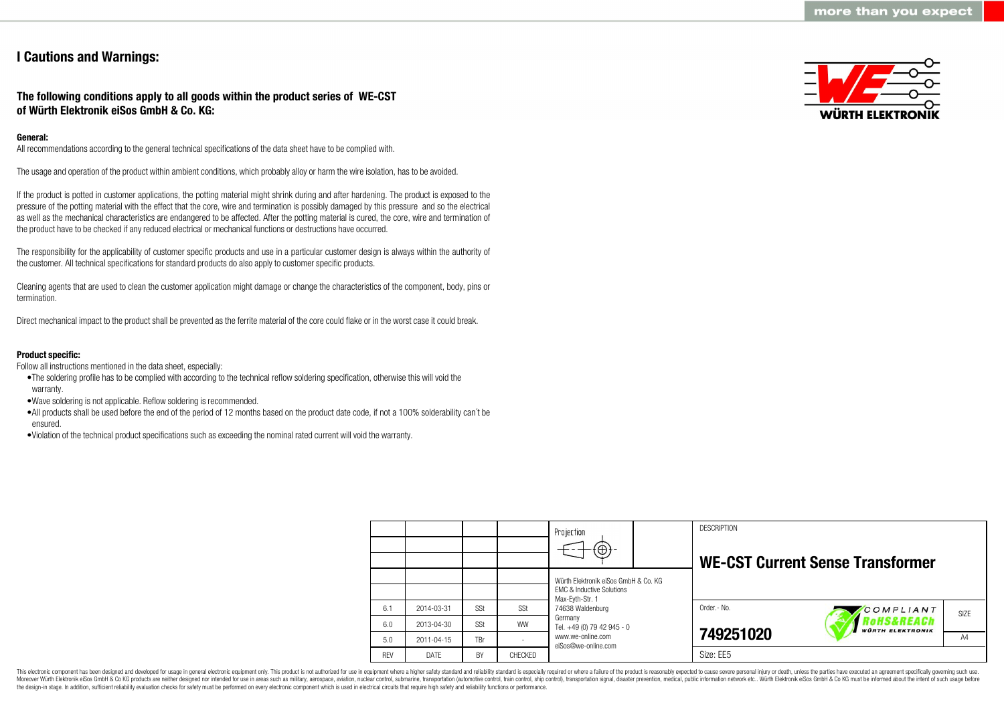# **I Cautions and Warnings:**

# **The following conditions apply to all goods within the product series of WE-CST of Würth Elektronik eiSos GmbH & Co. KG:**

# **General:**

All recommendations according to the general technical specifications of the data sheet have to be complied with.

The usage and operation of the product within ambient conditions, which probably alloy or harm the wire isolation, has to be avoided.

If the product is potted in customer applications, the potting material might shrink during and after hardening. The product is exposed to the pressure of the potting material with the effect that the core, wire and termination is possibly damaged by this pressure and so the electrical as well as the mechanical characteristics are endangered to be affected. After the potting material is cured, the core, wire and termination of the product have to be checked if any reduced electrical or mechanical functions or destructions have occurred.

The responsibility for the applicability of customer specific products and use in a particular customer design is always within the authority of the customer. All technical specifications for standard products do also apply to customer specific products.

Cleaning agents that are used to clean the customer application might damage or change the characteristics of the component, body, pins or termination.

Direct mechanical impact to the product shall be prevented as the ferrite material of the core could flake or in the worst case it could break.

## **Product specific:**

Follow all instructions mentioned in the data sheet, especially:

- •The soldering profile has to be complied with according to the technical reflow soldering specification, otherwise this will void the warranty.
- •Wave soldering is not applicable. Reflow soldering is recommended.
- •All products shall be used before the end of the period of 12 months based on the product date code, if not a 100% solderability can´t be ensured.
- •Violation of the technical product specifications such as exceeding the nominal rated current will void the warranty.

|            |            |     |           | Projection<br>$\Theta$                                                       | <b>DESCRIPTION</b> | <b>WE-CST Current Sense Transformer</b>         |      |
|------------|------------|-----|-----------|------------------------------------------------------------------------------|--------------------|-------------------------------------------------|------|
|            |            |     |           | Würth Elektronik eiSos GmbH & Co. KG<br><b>FMC &amp; Inductive Solutions</b> |                    |                                                 |      |
| 6.1        | 2014-03-31 | SSt | SSt       | Max-Eyth-Str. 1<br>74638 Waldenburg                                          | Order .- No.       | COMPLIANT                                       | SIZE |
| 6.0        | 2013-04-30 | SSt | <b>WW</b> | Germany<br>Tel. +49 (0) 79 42 945 - 0                                        |                    | <b>OHS&amp;REACh</b><br><b>WÜRTH ELEKTRONIK</b> |      |
| 5.0        | 2011-04-15 | TBr |           | www.we-online.com<br>eiSos@we-online.com                                     | 749251020          |                                                 | A4   |
| <b>REV</b> | DATE       | BY  | CHECKED   |                                                                              | Size: EE5          |                                                 |      |

This electronic component has been designed and developed for usage in general electronic equipment only. This product is not authorized for use in equipment where a higher safety standard and reliability standard is espec Moreover Würth Elektronik eiSos GmbH & Co KG products are neither designed nor intended for use in areas such as military, aerospace, aviation, nuclear control, submarine, transportation (automotive control), tain control) the design-in stage. In addition, sufficient reliability evaluation checks for safety must be performed on every electronic component which is used in electrical circuits that require high safety and reliability functions